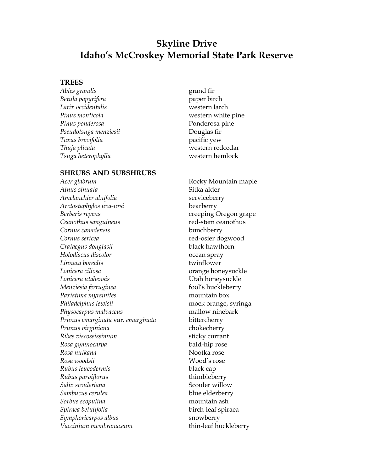## **Skyline Drive Idaho's McCroskey Memorial State Park Reserve**

## **TREES**

*Abies grandis* grand fir *Betula papyrifera* paper birch *Larix occidentalis* western larch *Pinus monticola* western white pine Pinus ponderosa **Ponderosa** Ponderosa pine *Pseudotsuga menziesii* Douglas fir *Taxus brevifolia* pacific yew *Thuja plicata* western redcedar *Tsuga heterophylla* western hemlock

## **SHRUBS AND SUBSHRUBS**

*Alnus sinuata* Sitka alder *Amelanchier alnifolia* serviceberry *Arctostaphylos uva-ursi* bearberry *Berberis repens* creeping Oregon grape *Ceanothus sanguineus* red-stem ceanothus *Cornus canadensis* bunchberry *Cornus sericea* red-osier dogwood *Crataegus douglasii* black hawthorn *Holodiscus discolor* ocean spray *Linnaea borealis* twinflower Lonicera ciliosa **by a contract of the contract of the contract of the contract of the contract of the contract of the contract of the contract of the contract of the contract of the contract of the contract of the contrac** *Lonicera utahensis* Utah honeysuckle *Menziesia ferruginea* fool's huckleberry *Paxistima myrsinites* mountain box *Philadelphus lewisii* mock orange, syringa *Physocarpus malvaceus* mallow ninebark *Prunus emarginata* var. *emarginata* bittercherry *Prunus virginiana* chokecherry *Ribes viscossissimum* sticky currant *Rosa gymnocarpa* bald-hip rose Rosa nutkana *Rosa nutkana* na kata kwa kutoka rose *Rosa woodsii* Wood's rose *Rubus leucodermis* black cap *Rubus parviflorus* thimbleberry *Salix scouleriana* Scouler willow *Sambucus cerulea* blue elderberry *Sorbus scopulina* mountain ash *Spiraea betulifolia* birch-leaf spiraea *Symphoricarpos albus* snowberry *Vaccinium membranaceum* thin-leaf huckleberry

*Acer glabrum* Rocky Mountain maple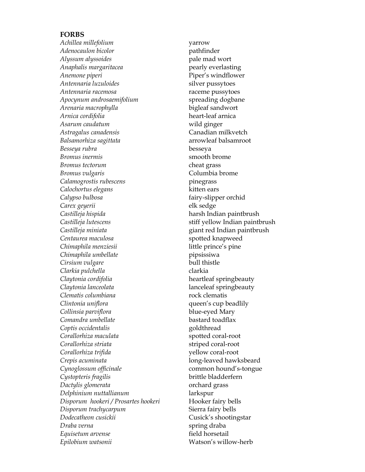## **FORBS**

*Achillea millefolium* yarrow *Adenocaulon bicolor* pathfinder *Alyssum alyssoides* pale mad wort *Anaphalis margaritacea* pearly everlasting *Anemone piperi* Piper's windflower *Antennaria luzuloides* silver pussytoes *Antennaria racemosa* raceme pussytoes *Apocynum androsaemifolium* spreading dogbane *Arenaria macrophylla* bigleaf sandwort *Arnica cordifolia* heart-leaf arnica *Asarum caudatum* wild ginger *Astragalus canadensis* Canadian milkvetch Balsamorhiza sagittata arrowleaf balsamroot *Besseya rubra* besseya **Bromus inermis** smooth brome *Bromus tectorum* cheat grass *Bromus vulgaris* Columbia brome *Calamogrostis rubescens* pinegrass *Calochortus elegans* kitten ears *Calypso bulbosa* fairy-slipper orchid *Carex geyerii* elk sedge *Castilleja hispida* harsh Indian paintbrush *Castilleja lutescens* stiff yellow Indian paintbrush *Castilleja miniata* giant red Indian paintbrush Centaurea maculosa **spotted knapweed** *Chimaphila menziesii* little prince's pine *Chimaphila umbellate* pipsissiwa *Cirsium vulgare* bull thistle *Clarkia pulchella* clarkia *Claytonia cordifolia* heartleaf springbeauty *Claytonia lanceolata* lanceleaf springbeauty *Clematis columbiana* rock clematis *Clintonia uniflora* example a queen's cup beadlily *Collinsia parviflora* blue-eyed Mary *Comandra umbellate* bastard toadflax *Coptis occidentalis* goldthread Corallorhiza maculata spotted coral-root *Corallorhiza striata* striped coral-root *Corallorhiza trifida* yellow coral-root *Crepis acuminata* long-leaved hawksbeard *Cynoglossum officinale* common hound's-tongue *Cystopteris fragilis* brittle bladderfern *Dactylis glomerata* orchard grass *Delphinium nuttallianum* larkspur *Disporum hookeri / Prosartes hookeri* Hooker fairy bells *Disporum trachycarpum* Sierra fairy bells *Dodecatheon cusickii* Cusick's shootingstar *Draba verna* spring draba *Equisetum arvense* field horsetail *Epilobium watsonii* Watson's willow-herb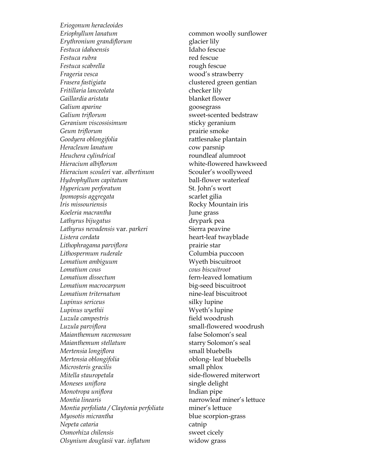*Eriogonum heracleoides Eriophyllum lanatum* common woolly sunflower *Erythronium grandiflorum* glacier lily *Festuca idahoensis* Idaho fescue *Festuca rubra* red fescue *Festuca scabrella rough fescue Frageria vesca* wood's strawberry *Frasera fastigiata* clustered green gentian *Fritillaria lanceolata* checker lily *Gaillardia aristata* blanket flower Galium *aparine* example a second goosegrass *Galium triflorum* sweet-scented bedstraw *Geranium viscossisimum* sticky geranium Geum triflorum **prairie** smoke *Goodyera oblongifolia* rattlesnake plantain *Heracleum lanatum* cow parsnip *Heuchera cylindrical* roundleaf alumroot *Hieracium albiflorum* white-flowered hawkweed *Hieracium scouleri* var. *albertinum* Scouler's woollyweed *Hydrophyllum capitatum* ball-flower waterleaf *Hypericum perforatum* St. John's wort *Ipomopsis aggregata* scarlet gilia *Iris missouriensis* Rocky Mountain iris *Koeleria macrantha* June grass *Lathyrus bijugatus* drypark pea Lathyrus nevadensis var. *parkeri* Sierra peavine *Listera cordata* heart-leaf twayblade Lithophragama parviflora<br>
prairie star *Lithospermum ruderale* Columbia puccoon *Lomatium ambiguum* Wyeth biscuitroot *Lomatium cous cous biscuitroot Lomatium dissectum* fern-leaved lomatium *Lomatium macrocarpum* big-seed biscuitroot *Lomatium triternatum* nine-leaf biscuitroot *Lupinus sericeus* silky lupine *Lupinus wyethii* Wyeth's lupine *Luzula campestris* field woodrush *Luzula parviflora* small-flowered woodrush *Maianthemum racemosum* false Solomon's seal *Maianthemum stellatum* starry Solomon's seal *Mertensia longiflora* small bluebells *Mertensia oblongifolia* oblong- leaf bluebells *Microsteris gracilis* small phlox *Mitella stauropetala* side-flowered miterwort *Moneses uniflora* single delight *Monotropa uniflora* Indian pipe *Montia linearis* narrowleaf miner's lettuce *Montia perfoliata / Claytonia perfoliata* miner's lettuce *Myosotis micrantha* blue scorpion-grass *Nepeta cataria* catnip *Osmorhiza chilensis* sweet cicely *Olsynium douglasii* var. *inflatum* widow grass